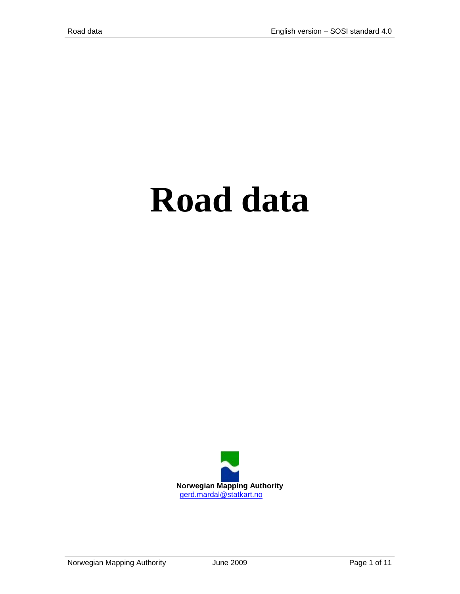# **Road data**

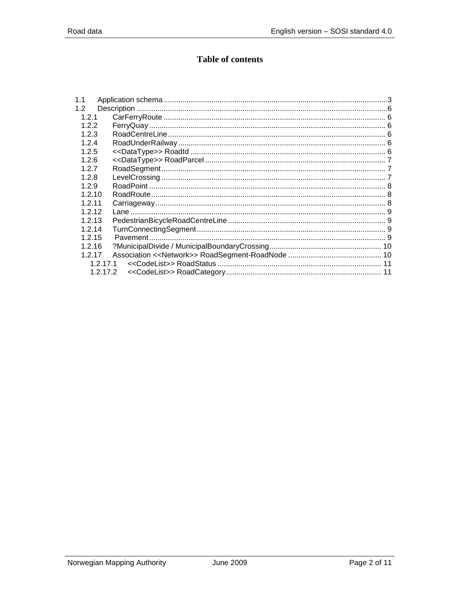# **Table of contents**

| 1.1       |           |  |
|-----------|-----------|--|
| 1.2       |           |  |
| 1.2.1     |           |  |
| 1.2.2     |           |  |
| 1.2.3     |           |  |
| 1.2.4     |           |  |
| 1.2.5     |           |  |
| 1.2.6     |           |  |
| 1.2.7     |           |  |
| 1.2.8     |           |  |
| 1.2.9     |           |  |
| 1.2.10    |           |  |
| 1.2.11    |           |  |
| 1.2.12    |           |  |
| 1.2.13    |           |  |
| 1.2.14    |           |  |
| 1.2.15    |           |  |
| 1.2.16    |           |  |
| 1.2.17    |           |  |
| 1 2 1 7 1 |           |  |
|           | 1 2 1 7 2 |  |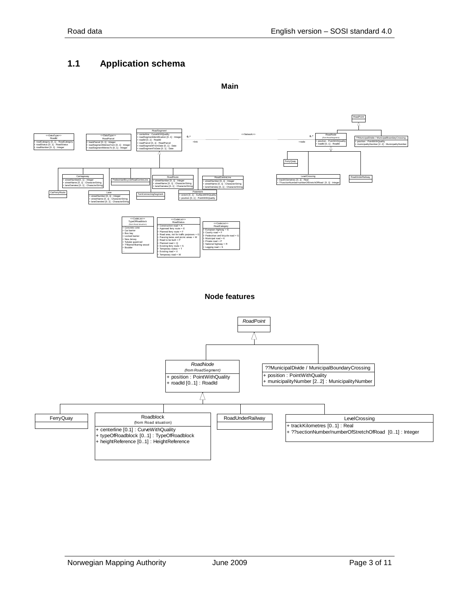# <span id="page-2-0"></span>**1.1 Application schema**

**Main**

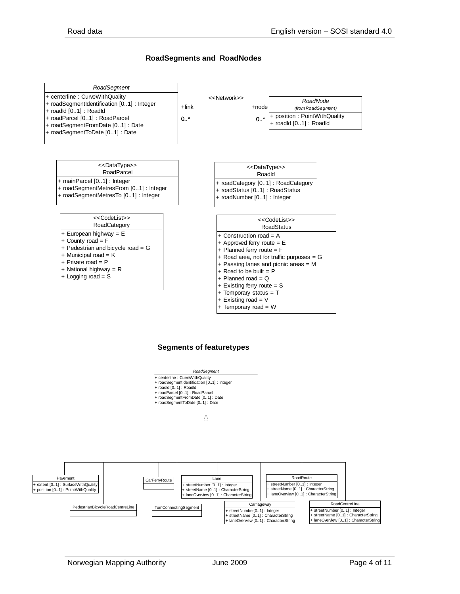#### **RoadSegments and RoadNodes**



#### **Segments of featuretypes**

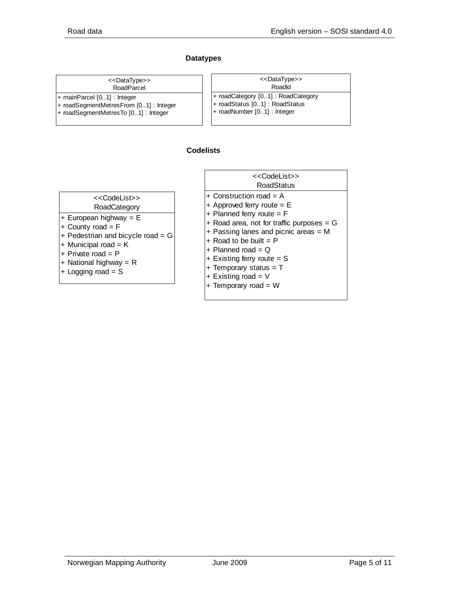#### **Datatypes**

| < <datatype>&gt;</datatype> |  |
|-----------------------------|--|
| RoadParcel                  |  |

- + mainParcel [0..1] : Integer
- + roadSegmentMetresFrom [0..1] : Integer
- + roadSegmentMetresTo [0..1] : Integer

| < <datatype>&gt;</datatype>       |  |
|-----------------------------------|--|
| Roadld                            |  |
| + roadCategory [01]: RoadCategory |  |
| + roadStatus [01] : RoadStatus    |  |
| + roadNumber [01] : Integer       |  |

#### **Codelists**

| < <codelist>&gt;</codelist> |  |
|-----------------------------|--|
| $D$ ood $C$ otogon          |  |

- RoadCategory + European highway = E
- + County road = F
- + Pedestrian and bicycle road = G
- + Municipal road = K
- 
- + Private road = P + National highway = R
- 
- + Logging road = S
- **RoadStatus** <<CodeList>>
- + Construction road = A
- + Approved ferry route = E
- + Planned ferry route = F
- $+$  Road area, not for traffic purposes =  $G$
- + Passing lanes and picnic areas = M
- $+$  Road to be built = P
- $+$  Planned road = Q
- $+$  Existing ferry route = S
- $+$  Temporary status = T
- $+$  Existing road =  $V$
- + Temporary road = W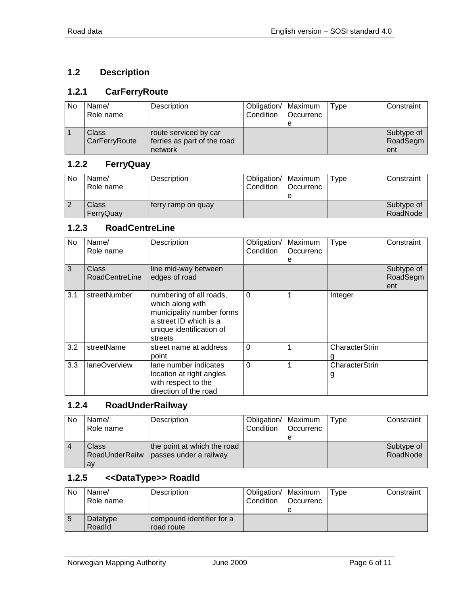# <span id="page-5-0"></span>**1.2 Description**

# <span id="page-5-1"></span>**1.2.1 CarFerryRoute**

| No | Name/<br>Role name | Description                 | Obligation/   Maximum<br>Condition | <b>Occurrenc</b> | Type | Constraint |
|----|--------------------|-----------------------------|------------------------------------|------------------|------|------------|
|    |                    |                             |                                    |                  |      |            |
|    | Class              | route serviced by car       |                                    |                  |      | Subtype of |
|    | CarFerryRoute      | ferries as part of the road |                                    |                  |      | RoadSegm   |
|    |                    | network                     |                                    |                  |      | ent        |

## <span id="page-5-2"></span>**1.2.2 FerryQuay**

| No | Name/<br>Role name | Description        | Obligation/   Maximum<br>Condition | <b>Occurrenc</b> | Type | Constraint             |
|----|--------------------|--------------------|------------------------------------|------------------|------|------------------------|
|    | Class<br>FerryQuay | terry ramp on quay |                                    |                  |      | Subtype of<br>RoadNode |

#### <span id="page-5-3"></span>**1.2.3 RoadCentreLine**

| No  | Name/<br>Role name             | Description                                                                                                                               | Obligation/<br>Condition | Maximum<br>Occurrenc<br>е | <b>Type</b>         | Constraint                    |
|-----|--------------------------------|-------------------------------------------------------------------------------------------------------------------------------------------|--------------------------|---------------------------|---------------------|-------------------------------|
| 3   | <b>Class</b><br>RoadCentreLine | line mid-way between<br>edges of road                                                                                                     |                          |                           |                     | Subtype of<br>RoadSegm<br>ent |
| 3.1 | streetNumber                   | numbering of all roads,<br>which along with<br>municipality number forms<br>a street ID which is a<br>unique identification of<br>streets | $\Omega$                 |                           | Integer             |                               |
| 3.2 | streetName                     | street name at address<br>point                                                                                                           | $\Omega$                 |                           | CharacterStrin      |                               |
| 3.3 | laneOverview                   | lane number indicates<br>location at right angles<br>with respect to the<br>direction of the road                                         | $\Omega$                 |                           | CharacterStrin<br>g |                               |

## <span id="page-5-4"></span>**1.2.4 RoadUnderRailway**

| No | Name/          | Description                 | Obligation/   Maximum |                  | Type | Constraint |
|----|----------------|-----------------------------|-----------------------|------------------|------|------------|
|    | Role name      |                             | Condition             | <b>Occurrenc</b> |      |            |
|    |                |                             |                       | е                |      |            |
|    | Class          | the point at which the road |                       |                  |      | Subtype of |
|    | RoadUnderRailw | passes under a railway      |                       |                  |      | RoadNode   |
|    | av             |                             |                       |                  |      |            |

## <span id="page-5-5"></span>**1.2.5 <<DataType>> RoadId**

| No | Name/     | Description               | Obligation/   Maximum |             | Tvpe | Constraint |
|----|-----------|---------------------------|-----------------------|-------------|------|------------|
|    | Role name |                           | Condition             | l Occurrenc |      |            |
|    |           |                           |                       |             |      |            |
|    | Datatype  | compound identifier for a |                       |             |      |            |
|    | Roadld    | road route                |                       |             |      |            |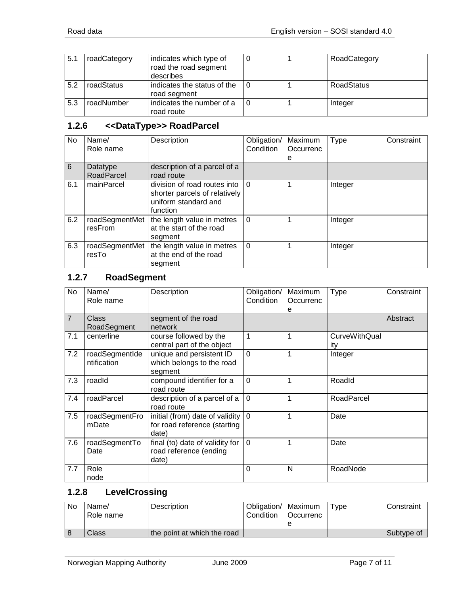| 5.1 | roadCategory | indicates which type of<br>road the road segment<br>describes |  | RoadCategory      |
|-----|--------------|---------------------------------------------------------------|--|-------------------|
| 5.2 | roadStatus   | indicates the status of the<br>road segment                   |  | <b>RoadStatus</b> |
| 5.3 | roadNumber   | indicates the number of a<br>road route                       |  | Integer           |

# <span id="page-6-0"></span>**1.2.6 <<DataType>> RoadParcel**

| No  | Name/<br>Role name        | Description                                                                                       | Obligation/<br>Condition | Maximum<br>Occurrenc<br>e | <b>Type</b> | Constraint |
|-----|---------------------------|---------------------------------------------------------------------------------------------------|--------------------------|---------------------------|-------------|------------|
| 6   | Datatype<br>RoadParcel    | description of a parcel of a<br>road route                                                        |                          |                           |             |            |
| 6.1 | mainParcel                | division of road routes into<br>shorter parcels of relatively<br>uniform standard and<br>function | $\Omega$                 |                           | Integer     |            |
| 6.2 | roadSegmentMet<br>resFrom | the length value in metres<br>at the start of the road<br>segment                                 | $\Omega$                 |                           | Integer     |            |
| 6.3 | roadSegmentMet<br>resTo   | the length value in metres<br>at the end of the road<br>segment                                   | $\Omega$                 |                           | Integer     |            |

# <span id="page-6-1"></span>**1.2.7 RoadSegment**

| No             | Name/<br>Role name            | Description                                                                          | Obligation/<br>Condition | Maximum<br>Occurrenc<br>е | <b>Type</b>                 | Constraint |
|----------------|-------------------------------|--------------------------------------------------------------------------------------|--------------------------|---------------------------|-----------------------------|------------|
| $\overline{7}$ | Class<br>RoadSegment          | segment of the road<br>network                                                       |                          |                           |                             | Abstract   |
| 7.1            | centerline                    | course followed by the<br>central part of the object                                 | 1                        | 1                         | <b>CurveWithQual</b><br>ity |            |
| 7.2            | roadSegmentIde<br>ntification | unique and persistent ID<br>which belongs to the road<br>segment                     | $\Omega$                 | 1                         | Integer                     |            |
| 7.3            | roadId                        | compound identifier for a<br>road route                                              | $\mathbf 0$              | 1                         | RoadId                      |            |
| 7.4            | roadParcel                    | description of a parcel of a<br>road route                                           | $\Omega$                 | 1                         | RoadParcel                  |            |
| 7.5            | roadSegmentFro<br>mDate       | initial (from) date of validity $ 0\rangle$<br>for road reference (starting<br>date) |                          | 1                         | Date                        |            |
| 7.6            | roadSegmentTo<br>Date         | final (to) date of validity for<br>road reference (ending<br>date)                   | $\overline{0}$           | 1                         | Date                        |            |
| 7.7            | Role<br>node                  |                                                                                      | $\Omega$                 | N                         | RoadNode                    |            |

## <span id="page-6-2"></span>**1.2.8 LevelCrossing**

| No | Name/<br>Role name | Description                 | Obligation/   Maximum<br>Condition | <sup>1</sup> Occurrenc | $T$ vpe | Constraint |
|----|--------------------|-----------------------------|------------------------------------|------------------------|---------|------------|
|    |                    |                             |                                    |                        |         |            |
|    | Class              | the point at which the road |                                    |                        |         | Subtype of |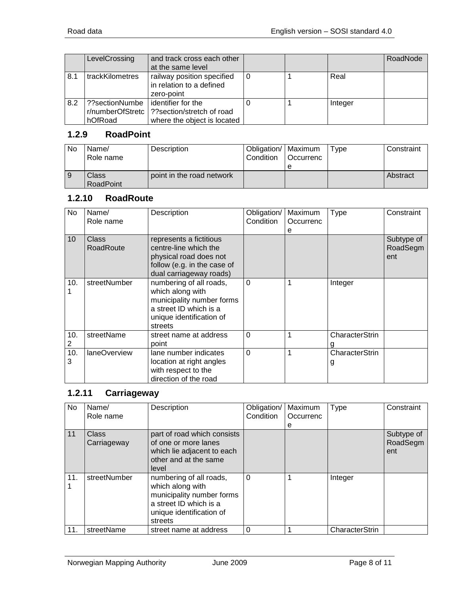|     | LevelCrossing                                 | and track cross each other<br>at the same level                                 |   |         | RoadNode |
|-----|-----------------------------------------------|---------------------------------------------------------------------------------|---|---------|----------|
| 8.1 | trackKilometres                               | railway position specified<br>in relation to a defined<br>zero-point            | 0 | Real    |          |
| 8.2 | ??sectionNumbe<br>r/numberOfStretc<br>hOfRoad | identifier for the<br>?? section/stretch of road<br>where the object is located |   | Integer |          |

# <span id="page-7-0"></span>**1.2.9 RoadPoint**

| No | Name/<br>Role name        | Description               | Obligation/   Maximum<br>Condition | l Occurrenc | Type | Constraint |
|----|---------------------------|---------------------------|------------------------------------|-------------|------|------------|
|    | Class<br><b>RoadPoint</b> | point in the road network |                                    |             |      | Abstract   |

# <span id="page-7-1"></span>**1.2.10 RoadRoute**

| No       | Name/<br>Role name | Description                                                                                                                               | Obligation/<br>Condition | Maximum<br>Occurrenc<br>е | <b>Type</b>         | Constraint                    |
|----------|--------------------|-------------------------------------------------------------------------------------------------------------------------------------------|--------------------------|---------------------------|---------------------|-------------------------------|
| 10       | Class<br>RoadRoute | represents a fictitious<br>centre-line which the<br>physical road does not<br>follow (e.g. in the case of<br>dual carriageway roads)      |                          |                           |                     | Subtype of<br>RoadSegm<br>ent |
| 10.      | streetNumber       | numbering of all roads,<br>which along with<br>municipality number forms<br>a street ID which is a<br>unique identification of<br>streets | $\Omega$                 |                           | Integer             |                               |
| 10.<br>2 | streetName         | street name at address<br>point                                                                                                           | $\Omega$                 |                           | CharacterStrin      |                               |
| 10.<br>3 | laneOverview       | lane number indicates<br>location at right angles<br>with respect to the<br>direction of the road                                         | $\overline{0}$           |                           | CharacterStrin<br>g |                               |

# <span id="page-7-2"></span>**1.2.11 Carriageway**

| No  | Name/<br>Role name   | Description                                                                                                                               | Obligation/<br>Condition | Maximum<br>Occurrenc<br>е | <b>Type</b>    | Constraint                    |
|-----|----------------------|-------------------------------------------------------------------------------------------------------------------------------------------|--------------------------|---------------------------|----------------|-------------------------------|
| 11  | Class<br>Carriageway | part of road which consists<br>of one or more lanes<br>which lie adjacent to each<br>other and at the same<br>level                       |                          |                           |                | Subtype of<br>RoadSegm<br>ent |
| 11. | streetNumber         | numbering of all roads,<br>which along with<br>municipality number forms<br>a street ID which is a<br>unique identification of<br>streets | 0                        |                           | Integer        |                               |
| 11. | streetName           | street name at address                                                                                                                    | $\Omega$                 |                           | CharacterStrin |                               |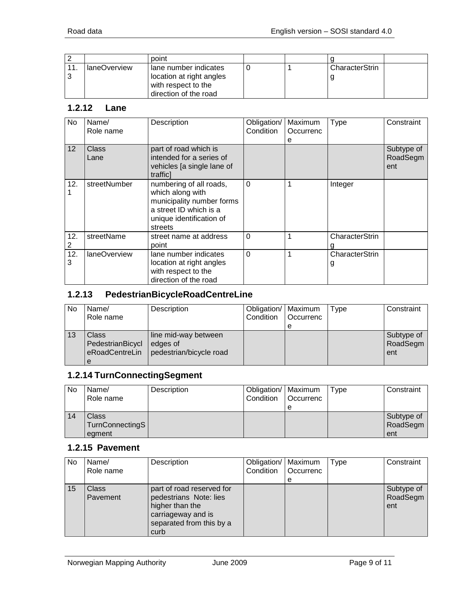|     |              | point                                                                                             |  |                |
|-----|--------------|---------------------------------------------------------------------------------------------------|--|----------------|
| 11. | laneOverview | lane number indicates<br>location at right angles<br>with respect to the<br>direction of the road |  | CharacterStrin |

#### <span id="page-8-0"></span>**1.2.12 Lane**

| No.             | Name/<br>Role name | Description                                                                                                                               | Obligation/<br>Condition | Maximum<br>Occurrenc<br>е | <b>Type</b>         | Constraint                    |
|-----------------|--------------------|-------------------------------------------------------------------------------------------------------------------------------------------|--------------------------|---------------------------|---------------------|-------------------------------|
| 12 <sup>2</sup> | Class<br>Lane      | part of road which is<br>intended for a series of<br>vehicles [a single lane of<br>trafficl                                               |                          |                           |                     | Subtype of<br>RoadSegm<br>ent |
| 12.             | streetNumber       | numbering of all roads,<br>which along with<br>municipality number forms<br>a street ID which is a<br>unique identification of<br>streets | $\Omega$                 |                           | Integer             |                               |
| 12.             | streetName         | street name at address<br>point                                                                                                           | $\Omega$                 |                           | CharacterStrin      |                               |
| 12.<br>3        | laneOverview       | lane number indicates<br>location at right angles<br>with respect to the<br>direction of the road                                         | $\Omega$                 |                           | CharacterStrin<br>g |                               |

# <span id="page-8-1"></span>**1.2.13 PedestrianBicycleRoadCentreLine**

| No | Name/            | Description             | Obligation/   Maximum |           | Type | Constraint |
|----|------------------|-------------------------|-----------------------|-----------|------|------------|
|    | Role name        |                         | Condition             | Occurrenc |      |            |
|    |                  |                         |                       | е         |      |            |
| 13 | Class            | line mid-way between    |                       |           |      | Subtype of |
|    | PedestrianBicycl | edges of                |                       |           |      | RoadSegm   |
|    | eRoadCentreLin   | pedestrian/bicycle road |                       |           |      | ent        |
|    | е                |                         |                       |           |      |            |

## <span id="page-8-2"></span>**1.2.14 TurnConnectingSegment**

| No | Name/<br>Role name                 | Description | Obligation/   Maximum<br>Condition | <b>Occurrenc</b><br>e | Type | Constraint                    |
|----|------------------------------------|-------------|------------------------------------|-----------------------|------|-------------------------------|
| 14 | Class<br>TurnConnectingS<br>egment |             |                                    |                       |      | Subtype of<br>RoadSegm<br>ent |

#### <span id="page-8-3"></span>**1.2.15 Pavement**

| No. | Name/<br>Role name       | Description                                                                                                                      | Obligation/   Maximum<br>Condition | <b>Occurrenc</b><br>e | <b>Type</b> | Constraint                    |
|-----|--------------------------|----------------------------------------------------------------------------------------------------------------------------------|------------------------------------|-----------------------|-------------|-------------------------------|
| 15  | <b>Class</b><br>Pavement | part of road reserved for<br>pedestrians Note: lies<br>higher than the<br>carriageway and is<br>separated from this by a<br>curb |                                    |                       |             | Subtype of<br>RoadSegm<br>ent |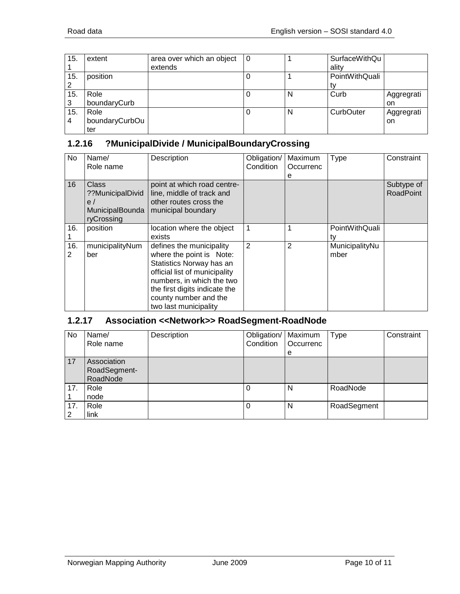| 15. | extent         | area over which an object | l 0 |   | SurfaceWithQu  |            |
|-----|----------------|---------------------------|-----|---|----------------|------------|
|     |                | extends                   |     |   | ality          |            |
| 15. | position       |                           |     |   | PointWithQuali |            |
| 2   |                |                           |     |   |                |            |
| 15. | Role           |                           |     | N | Curb           | Aggregrati |
| 3   | boundaryCurb   |                           |     |   |                | on         |
| 15. | Role           |                           |     | N | CurbOuter      | Aggregrati |
| 4   | boundaryCurbOu |                           |     |   |                | on         |
|     | ter            |                           |     |   |                |            |

#### <span id="page-9-0"></span>**1.2.16 ?MunicipalDivide / MunicipalBoundaryCrossing**

| No       | Name/<br>Role name                                                      | Description                                                                                                                                                                                                                       | Obligation/<br>Condition | Maximum<br>Occurrenc<br>е | Type                   | Constraint                     |
|----------|-------------------------------------------------------------------------|-----------------------------------------------------------------------------------------------------------------------------------------------------------------------------------------------------------------------------------|--------------------------|---------------------------|------------------------|--------------------------------|
| 16       | <b>Class</b><br>??MunicipalDivid<br>e/<br>MunicipalBounda<br>ryCrossing | point at which road centre-<br>line, middle of track and<br>other routes cross the<br>municipal boundary                                                                                                                          |                          |                           |                        | Subtype of<br><b>RoadPoint</b> |
| 16.      | position                                                                | location where the object<br>exists                                                                                                                                                                                               | 1                        |                           | PointWithQuali<br>tv   |                                |
| 16.<br>2 | municipalityNum<br>ber                                                  | defines the municipality<br>where the point is Note:<br>Statistics Norway has an<br>official list of municipality<br>numbers, in which the two<br>the first digits indicate the<br>county number and the<br>two last municipality | $\overline{2}$           | 2                         | MunicipalityNu<br>mber |                                |

# <span id="page-9-1"></span>**1.2.17 Association <<Network>> RoadSegment-RoadNode**

| <b>No</b> | Name/<br>Role name                      | Description | Obligation/   Maximum<br>Condition | Occurrenc<br>e | Type        | Constraint |
|-----------|-----------------------------------------|-------------|------------------------------------|----------------|-------------|------------|
| 17        | Association<br>RoadSegment-<br>RoadNode |             |                                    |                |             |            |
| 17.       | Role<br>node                            |             | 0                                  | N              | RoadNode    |            |
| 17.<br>2  | Role<br>link                            |             | 0                                  | N              | RoadSegment |            |